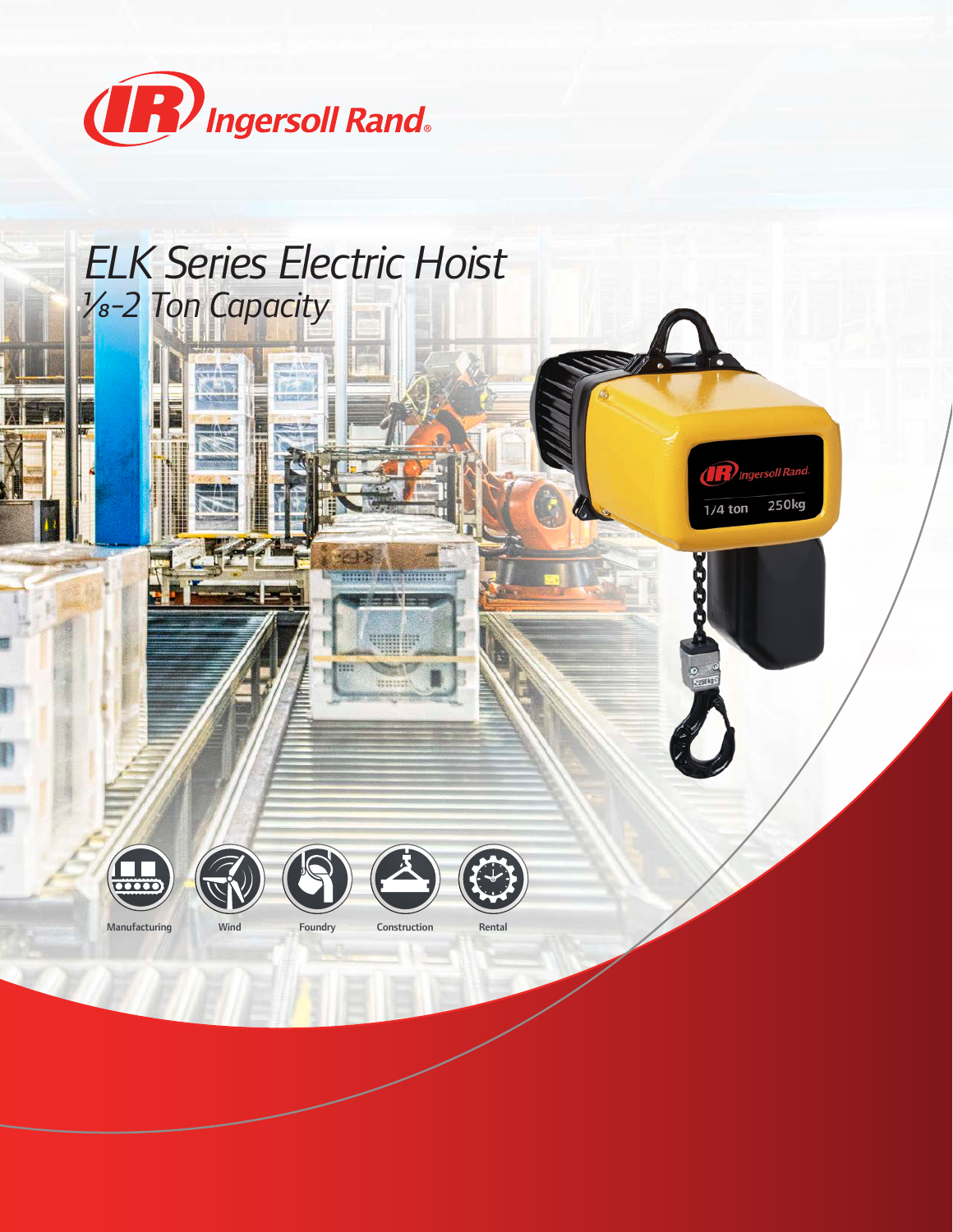

## *ELK Series Electric Hoist 1/8-2 Ton Capacity*









**R** Ingersoll Rand

 $1/4$  ton

250kg

Manufacturing Wind Foundry Construction

甜菜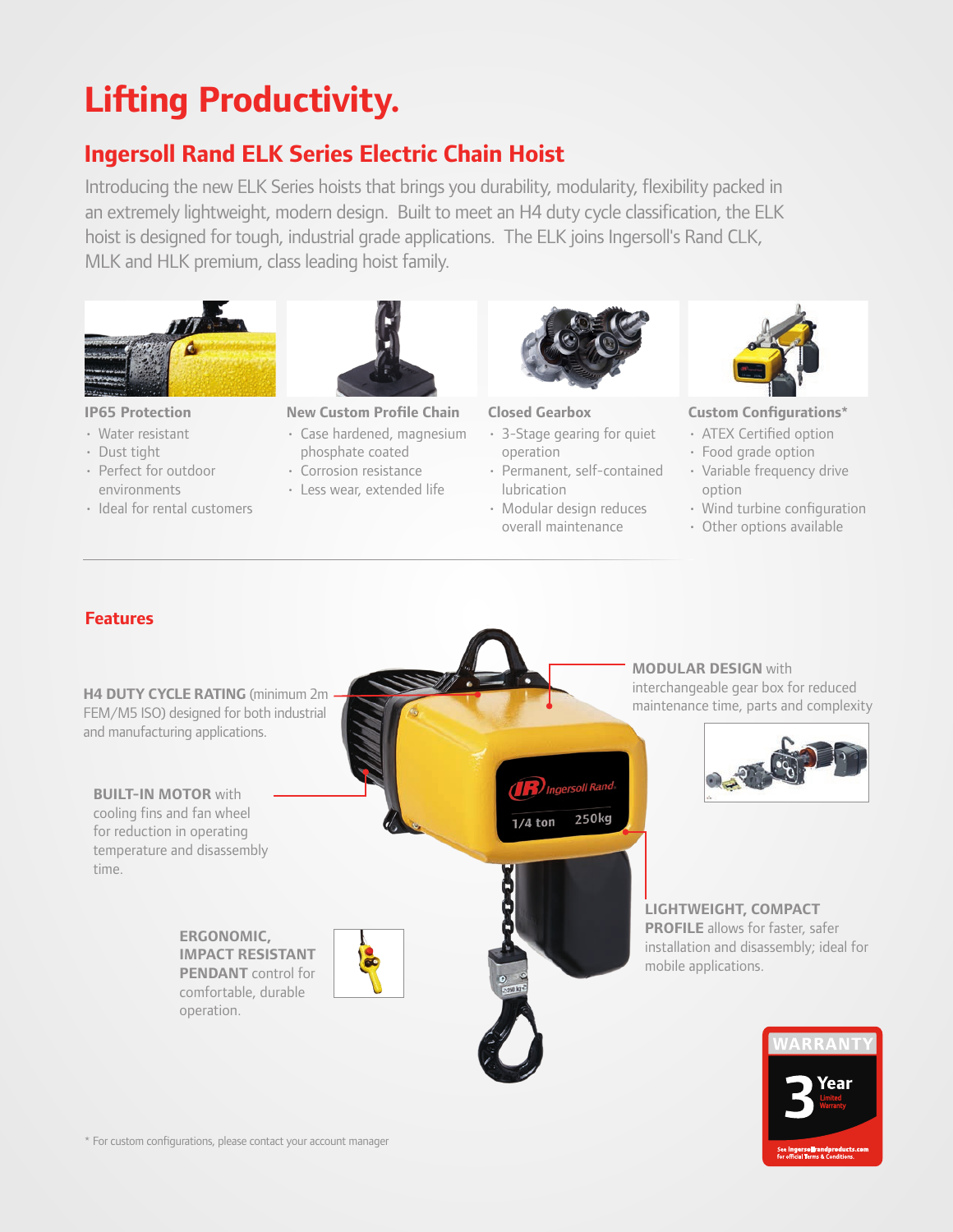# **Lifting Productivity.**

## **Ingersoll Rand ELK Series Electric Chain Hoist**

Introducing the new ELK Series hoists that brings you durability, modularity, flexibility packed in an extremely lightweight, modern design. Built to meet an H4 duty cycle classification, the ELK hoist is designed for tough, industrial grade applications. The ELK joins Ingersoll's Rand CLK, MLK and HLK premium, class leading hoist family.





- Water resistant
- Dust tight
- Perfect for outdoor environments
- Ideal for rental customers

**IP65 Protection New Custom Profile Chain Closed Gearbox Custom Configurations\***

- Case hardened, magnesium phosphate coated
- Corrosion resistance
- Less wear, extended life



- 3-Stage gearing for quiet operation
- Permanent, self-contained lubrication
- Modular design reduces overall maintenance



- ATEX Certified option
- Food grade option
- Variable frequency drive option
- Wind turbine configuration
- Other options available

## **Features**



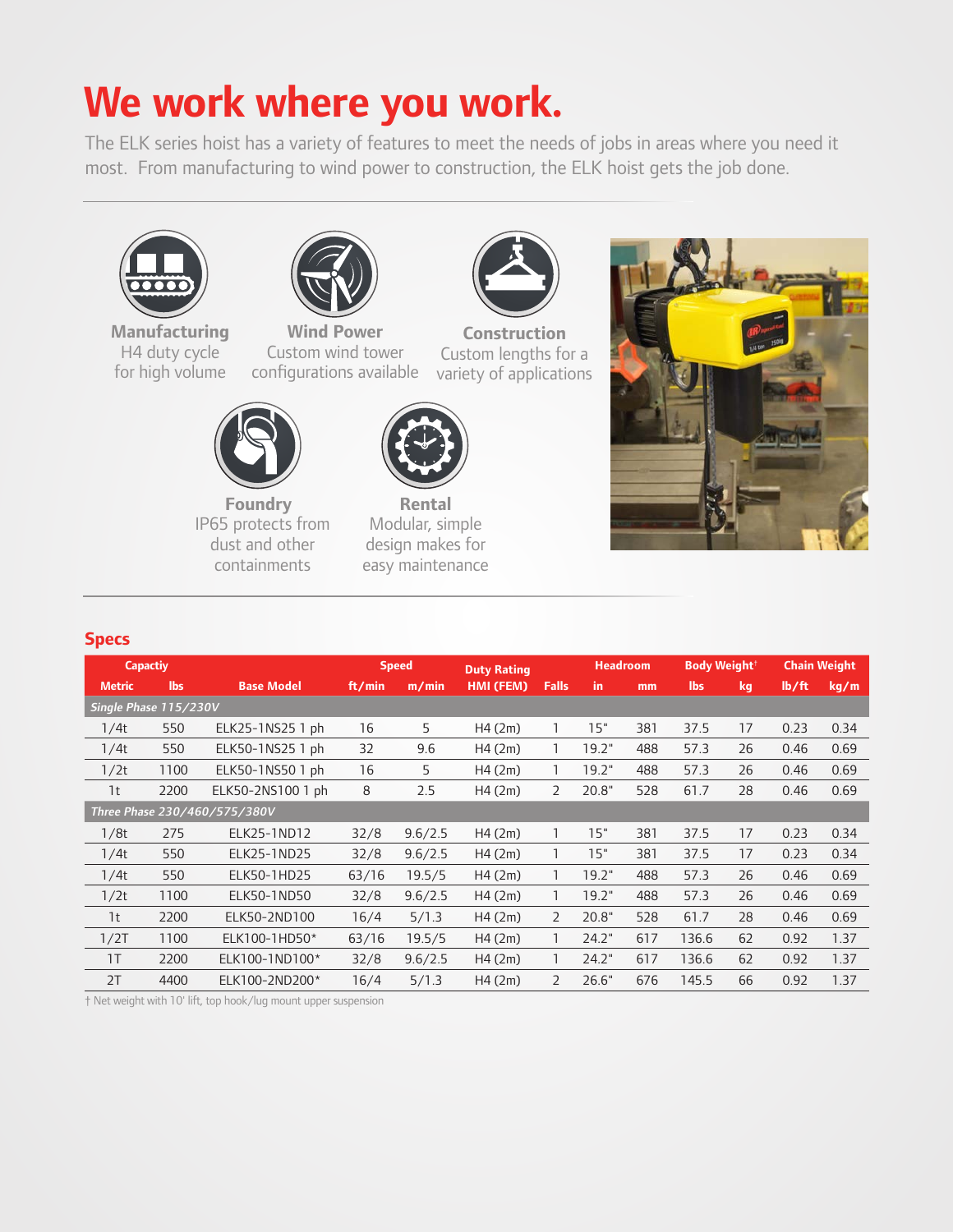# **We work where you work.**

The ELK series hoist has a variety of features to meet the needs of jobs in areas where you need it most. From manufacturing to wind power to construction, the ELK hoist gets the job done.





**Manufacturing**  H4 duty cycle for high volume

**Wind Power**  Custom wind tower configurations available



**Construction** Custom lengths for a variety of applications



**Foundry** IP65 protects from dust and other containments



**Rental** Modular, simple design makes for easy maintenance



### **Specs**

| <b>Capactiy</b>              |      |                   | <b>Speed</b> |         | <b>Duty Rating</b> |                | <b>Headroom</b> |     | Body Weight <sup>+</sup> |    | <b>Chain Weight</b> |      |
|------------------------------|------|-------------------|--------------|---------|--------------------|----------------|-----------------|-----|--------------------------|----|---------------------|------|
| <b>Metric</b>                | lbs  | <b>Base Model</b> | ft/min       | m/min   | HMI (FEM)          | <b>Falls</b>   | in.             | mm  | lbs                      | kg | lb/ft               | kq/m |
| Single Phase 115/230V        |      |                   |              |         |                    |                |                 |     |                          |    |                     |      |
| 1/4t                         | 550  | ELK25-1NS25 1 ph  | 16           | 5       | H4(2m)             |                | 15"             | 381 | 37.5                     | 17 | 0.23                | 0.34 |
| 1/4t                         | 550  | ELK50-1NS25 1 ph  | 32           | 9.6     | H4(2m)             |                | 19.2"           | 488 | 57.3                     | 26 | 0.46                | 0.69 |
| 1/2t                         | 1100 | ELK50-1NS50 1 ph  | 16           | 5       | H4(2m)             |                | 19.2"           | 488 | 57.3                     | 26 | 0.46                | 0.69 |
| 1t                           | 2200 | ELK50-2NS100 1 ph | 8            | 2.5     | H4(2m)             | $\overline{2}$ | 20.8"           | 528 | 61.7                     | 28 | 0.46                | 0.69 |
| Three Phase 230/460/575/380V |      |                   |              |         |                    |                |                 |     |                          |    |                     |      |
| 1/8t                         | 275  | ELK25-1ND12       | 32/8         | 9.6/2.5 | H4(2m)             |                | 15"             | 381 | 37.5                     | 17 | 0.23                | 0.34 |
| 1/4t                         | 550  | ELK25-1ND25       | 32/8         | 9.6/2.5 | H4(2m)             |                | 15"             | 381 | 37.5                     | 17 | 0.23                | 0.34 |
| 1/4t                         | 550  | ELK50-1HD25       | 63/16        | 19.5/5  | H4(2m)             |                | 19.2"           | 488 | 57.3                     | 26 | 0.46                | 0.69 |
| 1/2t                         | 1100 | ELK50-1ND50       | 32/8         | 9.6/2.5 | H4(2m)             |                | 19.2"           | 488 | 57.3                     | 26 | 0.46                | 0.69 |
| 1t                           | 2200 | ELK50-2ND100      | 16/4         | 5/1.3   | H4(2m)             | $\overline{2}$ | 20.8"           | 528 | 61.7                     | 28 | 0.46                | 0.69 |
| 1/2T                         | 1100 | ELK100-1HD50*     | 63/16        | 19.5/5  | H4(2m)             |                | 24.2"           | 617 | 136.6                    | 62 | 0.92                | 1.37 |
| 1T                           | 2200 | ELK100-1ND100*    | 32/8         | 9.6/2.5 | H4(2m)             |                | 24.2"           | 617 | 136.6                    | 62 | 0.92                | 1.37 |
| 2T                           | 4400 | ELK100-2ND200*    | 16/4         | 5/1.3   | H4(2m)             | $\overline{2}$ | 26.6"           | 676 | 145.5                    | 66 | 0.92                | 1.37 |

† Net weight with 10' lift, top hook/lug mount upper suspension